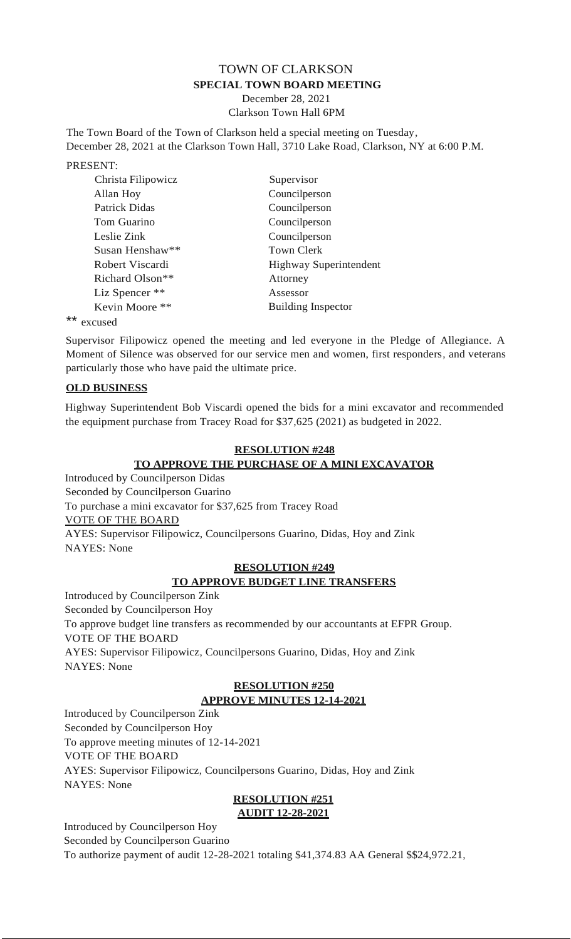# TOWN OF CLARKSON **SPECIAL TOWN BOARD MEETING**

December 28, 2021 Clarkson Town Hall 6PM

The Town Board of the Town of Clarkson held a special meeting on Tuesday, December 28, 2021 at the Clarkson Town Hall, 3710 Lake Road, Clarkson, NY at 6:00 P.M.

PRESENT:

| Christa Filipowicz          | Supervisor                    |
|-----------------------------|-------------------------------|
| Allan Hoy                   | Councilperson                 |
| Patrick Didas               | Councilperson                 |
| Tom Guarino                 | Councilperson                 |
| Leslie Zink                 | Councilperson                 |
| Susan Henshaw**             | <b>Town Clerk</b>             |
| Robert Viscardi             | <b>Highway Superintendent</b> |
| Richard Olson <sup>**</sup> | Attorney                      |
| Liz Spencer **              | Assessor                      |
| Kevin Moore **              | <b>Building Inspector</b>     |
|                             |                               |

\*\* excused

Supervisor Filipowicz opened the meeting and led everyone in the Pledge of Allegiance. A Moment of Silence was observed for our service men and women, first responders, and veterans particularly those who have paid the ultimate price.

#### **OLD BUSINESS**

Highway Superintendent Bob Viscardi opened the bids for a mini excavator and recommended the equipment purchase from Tracey Road for \$37,625 (2021) as budgeted in 2022.

## **RESOLUTION #248 TO APPROVE THE PURCHASE OF A MINI EXCAVATOR**

Introduced by Councilperson Didas Seconded by Councilperson Guarino To purchase a mini excavator for \$37,625 from Tracey Road VOTE OF THE BOARD AYES: Supervisor Filipowicz, Councilpersons Guarino, Didas, Hoy and Zink NAYES: None

## **RESOLUTION #249 TO APPROVE BUDGET LINE TRANSFERS**

Introduced by Councilperson Zink Seconded by Councilperson Hoy To approve budget line transfers as recommended by our accountants at EFPR Group. VOTE OF THE BOARD AYES: Supervisor Filipowicz, Councilpersons Guarino, Didas, Hoy and Zink NAYES: None

## **RESOLUTION #250 APPROVE MINUTES 12-14-2021**

Introduced by Councilperson Zink Seconded by Councilperson Hoy To approve meeting minutes of 12-14-2021 VOTE OF THE BOARD AYES: Supervisor Filipowicz, Councilpersons Guarino, Didas, Hoy and Zink NAYES: None

#### **RESOLUTION #251 AUDIT 12-28-2021**

Introduced by Councilperson Hoy Seconded by Councilperson Guarino

To authorize payment of audit 12-28-2021 totaling \$41,374.83 AA General \$\$24,972.21,